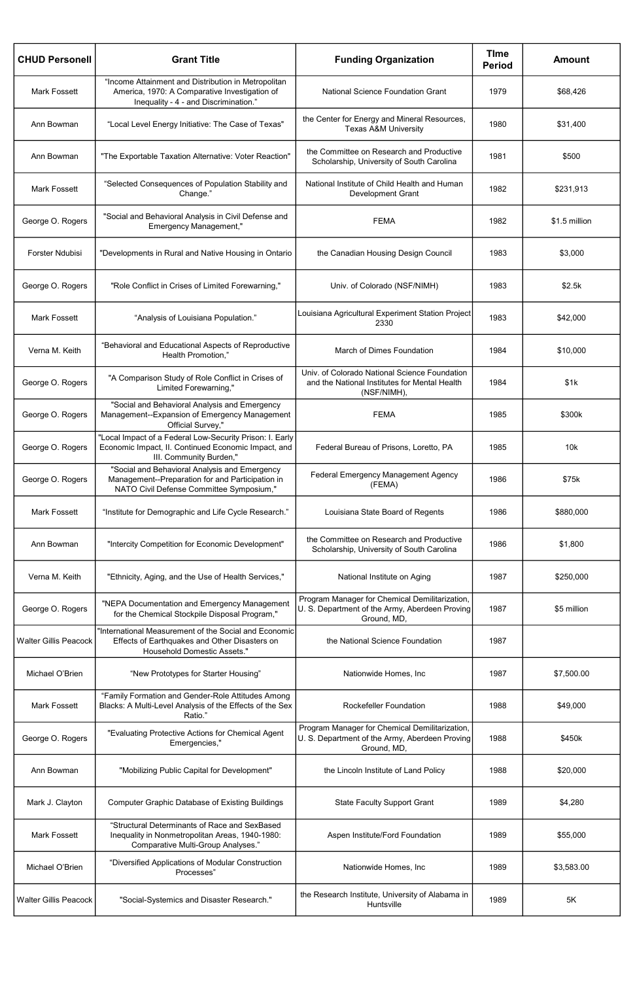| <b>CHUD Personell</b>        | <b>Grant Title</b>                                                                                                                            | <b>Funding Organization</b>                                                                                     | <b>Time</b><br><b>Period</b> | <b>Amount</b> |
|------------------------------|-----------------------------------------------------------------------------------------------------------------------------------------------|-----------------------------------------------------------------------------------------------------------------|------------------------------|---------------|
| <b>Mark Fossett</b>          | "Income Attainment and Distribution in Metropolitan<br>America, 1970: A Comparative Investigation of<br>Inequality - 4 - and Discrimination." | <b>National Science Foundation Grant</b>                                                                        | 1979                         | \$68,426      |
| Ann Bowman                   | "Local Level Energy Initiative: The Case of Texas"                                                                                            | the Center for Energy and Mineral Resources,<br><b>Texas A&amp;M University</b>                                 | 1980                         | \$31,400      |
| Ann Bowman                   | "The Exportable Taxation Alternative: Voter Reaction"                                                                                         | the Committee on Research and Productive<br>Scholarship, University of South Carolina                           | 1981                         | \$500         |
| <b>Mark Fossett</b>          | "Selected Consequences of Population Stability and<br>Change."                                                                                | National Institute of Child Health and Human<br><b>Development Grant</b>                                        | 1982                         | \$231,913     |
| George O. Rogers             | "Social and Behavioral Analysis in Civil Defense and<br><b>Emergency Management,"</b>                                                         | <b>FEMA</b>                                                                                                     | 1982                         | \$1.5 million |
| <b>Forster Ndubisi</b>       | "Developments in Rural and Native Housing in Ontario                                                                                          | the Canadian Housing Design Council                                                                             | 1983                         | \$3,000       |
| George O. Rogers             | "Role Conflict in Crises of Limited Forewarning,"                                                                                             | Univ. of Colorado (NSF/NIMH)                                                                                    | 1983                         | \$2.5k        |
| <b>Mark Fossett</b>          | "Analysis of Louisiana Population."                                                                                                           | Louisiana Agricultural Experiment Station Project<br>2330                                                       | 1983                         | \$42,000      |
| Verna M. Keith               | "Behavioral and Educational Aspects of Reproductive<br>Health Promotion,"                                                                     | March of Dimes Foundation                                                                                       | 1984                         | \$10,000      |
| George O. Rogers             | "A Comparison Study of Role Conflict in Crises of<br>Limited Forewarning,"                                                                    | Univ. of Colorado National Science Foundation<br>and the National Institutes for Mental Health<br>(NSF/NIMH),   | 1984                         | \$1k          |
| George O. Rogers             | "Social and Behavioral Analysis and Emergency<br>Management--Expansion of Emergency Management<br>Official Survey,"                           | <b>FEMA</b>                                                                                                     | 1985                         | \$300k        |
| George O. Rogers             | "Local Impact of a Federal Low-Security Prison: I. Early<br>Economic Impact, II. Continued Economic Impact, and<br>III. Community Burden,"    | Federal Bureau of Prisons, Loretto, PA                                                                          | 1985                         | 10k           |
| George O. Rogers             | "Social and Behavioral Analysis and Emergency<br>Management--Preparation for and Participation in<br>NATO Civil Defense Committee Symposium," | Federal Emergency Management Agency<br>(FEMA)                                                                   | 1986                         | \$75k         |
| <b>Mark Fossett</b>          | "Institute for Demographic and Life Cycle Research."                                                                                          | Louisiana State Board of Regents                                                                                | 1986                         | \$880,000     |
| Ann Bowman                   | "Intercity Competition for Economic Development"                                                                                              | the Committee on Research and Productive<br>Scholarship, University of South Carolina                           | 1986                         | \$1,800       |
| Verna M. Keith               | "Ethnicity, Aging, and the Use of Health Services,"                                                                                           | National Institute on Aging                                                                                     | 1987                         | \$250,000     |
| George O. Rogers             | "NEPA Documentation and Emergency Management<br>for the Chemical Stockpile Disposal Program,"                                                 | Program Manager for Chemical Demilitarization,<br>U. S. Department of the Army, Aberdeen Proving<br>Ground, MD, | 1987                         | \$5 million   |
| <b>Walter Gillis Peacock</b> | "International Measurement of the Social and Economic<br>Effects of Earthquakes and Other Disasters on<br>Household Domestic Assets."         | the National Science Foundation                                                                                 | 1987                         |               |
| Michael O'Brien              | "New Prototypes for Starter Housing"                                                                                                          | Nationwide Homes, Inc                                                                                           | 1987                         | \$7,500.00    |
| <b>Mark Fossett</b>          | "Family Formation and Gender-Role Attitudes Among<br>Blacks: A Multi-Level Analysis of the Effects of the Sex<br>Ratio."                      | <b>Rockefeller Foundation</b>                                                                                   | 1988                         | \$49,000      |
| George O. Rogers             | "Evaluating Protective Actions for Chemical Agent<br>Emergencies,"                                                                            | Program Manager for Chemical Demilitarization,<br>U. S. Department of the Army, Aberdeen Proving<br>Ground, MD, | 1988                         | \$450k        |
| Ann Bowman                   | "Mobilizing Public Capital for Development"                                                                                                   | the Lincoln Institute of Land Policy                                                                            | 1988                         | \$20,000      |
| Mark J. Clayton              | <b>Computer Graphic Database of Existing Buildings</b>                                                                                        | <b>State Faculty Support Grant</b>                                                                              | 1989                         | \$4,280       |
| <b>Mark Fossett</b>          | "Structural Determinants of Race and SexBased<br>Inequality in Nonmetropolitan Areas, 1940-1980:<br>Comparative Multi-Group Analyses."        | Aspen Institute/Ford Foundation                                                                                 | 1989                         | \$55,000      |
| Michael O'Brien              | "Diversified Applications of Modular Construction<br>Processes"                                                                               | Nationwide Homes, Inc                                                                                           | 1989                         | \$3,583.00    |
| <b>Walter Gillis Peacock</b> | "Social-Systemics and Disaster Research."                                                                                                     | the Research Institute, University of Alabama in<br>Huntsville                                                  | 1989                         | 5K            |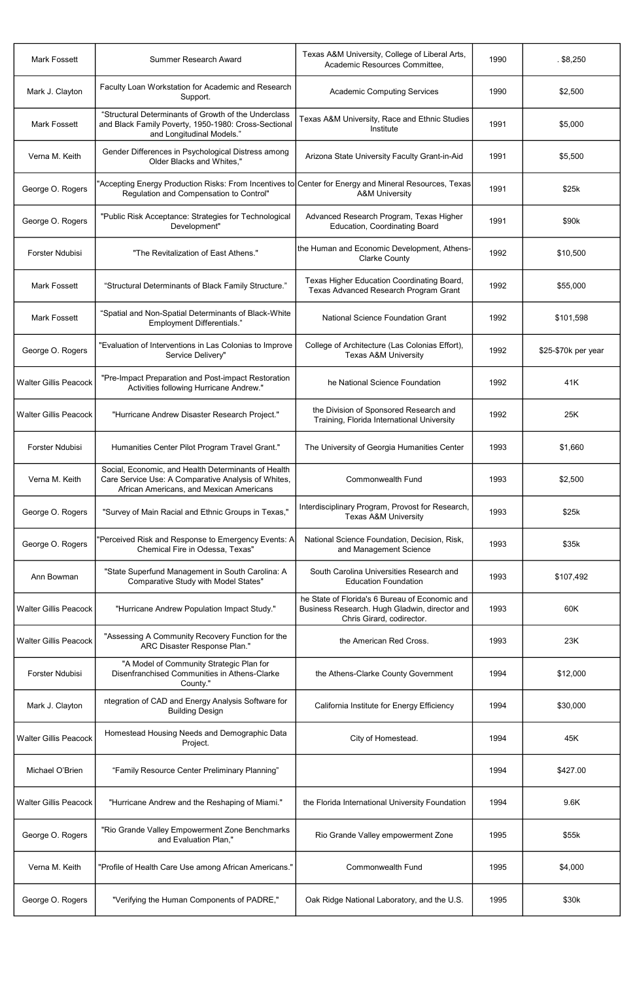| <b>Mark Fossett</b>          | Summer Research Award                                                                                                                                  | Texas A&M University, College of Liberal Arts,<br>Academic Resources Committee,                                              | 1990 | $.$ \$8,250         |
|------------------------------|--------------------------------------------------------------------------------------------------------------------------------------------------------|------------------------------------------------------------------------------------------------------------------------------|------|---------------------|
| Mark J. Clayton              | Faculty Loan Workstation for Academic and Research<br>Support.                                                                                         | <b>Academic Computing Services</b>                                                                                           | 1990 | \$2,500             |
| <b>Mark Fossett</b>          | "Structural Determinants of Growth of the Underclass<br>and Black Family Poverty, 1950-1980: Cross-Sectional<br>and Longitudinal Models."              | Texas A&M University, Race and Ethnic Studies<br>Institute                                                                   | 1991 | \$5,000             |
| Verna M. Keith               | Gender Differences in Psychological Distress among<br>Older Blacks and Whites,"                                                                        | Arizona State University Faculty Grant-in-Aid                                                                                | 1991 | \$5,500             |
| George O. Rogers             | "Accepting Energy Production Risks: From Incentives to $ $ Center for Energy and Mineral Resources, Texas<br>Regulation and Compensation to Control"   | <b>A&amp;M University</b>                                                                                                    | 1991 | \$25k               |
| George O. Rogers             | "Public Risk Acceptance: Strategies for Technological<br>Development"                                                                                  | Advanced Research Program, Texas Higher<br><b>Education, Coordinating Board</b>                                              | 1991 | \$90k               |
| Forster Ndubisi              | "The Revitalization of East Athens."                                                                                                                   | the Human and Economic Development, Athens-<br><b>Clarke County</b>                                                          | 1992 | \$10,500            |
| <b>Mark Fossett</b>          | "Structural Determinants of Black Family Structure."                                                                                                   | Texas Higher Education Coordinating Board,<br>Texas Advanced Research Program Grant                                          | 1992 | \$55,000            |
| <b>Mark Fossett</b>          | "Spatial and Non-Spatial Determinants of Black-White<br>Employment Differentials."                                                                     | <b>National Science Foundation Grant</b>                                                                                     | 1992 | \$101,598           |
| George O. Rogers             | "Evaluation of Interventions in Las Colonias to Improve<br>Service Delivery"                                                                           | College of Architecture (Las Colonias Effort),<br><b>Texas A&amp;M University</b>                                            | 1992 | \$25-\$70k per year |
| <b>Walter Gillis Peacock</b> | "Pre-Impact Preparation and Post-impact Restoration<br>Activities following Hurricane Andrew."                                                         | he National Science Foundation                                                                                               | 1992 | 41K                 |
| <b>Walter Gillis Peacock</b> | "Hurricane Andrew Disaster Research Project."                                                                                                          | the Division of Sponsored Research and<br>Training, Florida International University                                         | 1992 | 25K                 |
| Forster Ndubisi              | Humanities Center Pilot Program Travel Grant."                                                                                                         | The University of Georgia Humanities Center                                                                                  | 1993 | \$1,660             |
| Verna M. Keith               | Social, Economic, and Health Determinants of Health<br>Care Service Use: A Comparative Analysis of Whites,<br>African Americans, and Mexican Americans | <b>Commonwealth Fund</b>                                                                                                     | 1993 | \$2,500             |
| George O. Rogers             | "Survey of Main Racial and Ethnic Groups in Texas,"                                                                                                    | Interdisciplinary Program, Provost for Research,<br><b>Texas A&amp;M University</b>                                          | 1993 | \$25k               |
| George O. Rogers             | "Perceived Risk and Response to Emergency Events: A<br>Chemical Fire in Odessa, Texas"                                                                 | National Science Foundation, Decision, Risk,<br>and Management Science                                                       | 1993 | \$35k               |
| Ann Bowman                   | "State Superfund Management in South Carolina: A<br>Comparative Study with Model States"                                                               | South Carolina Universities Research and<br><b>Education Foundation</b>                                                      | 1993 | \$107,492           |
| <b>Walter Gillis Peacock</b> | "Hurricane Andrew Population Impact Study."                                                                                                            | he State of Florida's 6 Bureau of Economic and<br>Business Research. Hugh Gladwin, director and<br>Chris Girard, codirector. | 1993 | 60K                 |
| <b>Walter Gillis Peacock</b> | "Assessing A Community Recovery Function for the<br>ARC Disaster Response Plan."                                                                       | the American Red Cross.                                                                                                      | 1993 | 23K                 |
| Forster Ndubisi              | "A Model of Community Strategic Plan for<br>Disenfranchised Communities in Athens-Clarke<br>County."                                                   | the Athens-Clarke County Government                                                                                          | 1994 | \$12,000            |
| Mark J. Clayton              | ntegration of CAD and Energy Analysis Software for<br><b>Building Design</b>                                                                           | California Institute for Energy Efficiency                                                                                   | 1994 | \$30,000            |
| <b>Walter Gillis Peacock</b> | Homestead Housing Needs and Demographic Data<br>Project.                                                                                               | City of Homestead.                                                                                                           | 1994 | 45K                 |
| Michael O'Brien              | "Family Resource Center Preliminary Planning"                                                                                                          |                                                                                                                              | 1994 | \$427.00            |
| <b>Walter Gillis Peacock</b> | "Hurricane Andrew and the Reshaping of Miami."                                                                                                         | the Florida International University Foundation                                                                              | 1994 | 9.6K                |
| George O. Rogers             | "Rio Grande Valley Empowerment Zone Benchmarks<br>and Evaluation Plan,"                                                                                | Rio Grande Valley empowerment Zone                                                                                           | 1995 | \$55k               |
| Verna M. Keith               | "Profile of Health Care Use among African Americans."                                                                                                  | <b>Commonwealth Fund</b>                                                                                                     | 1995 | \$4,000             |
| George O. Rogers             | "Verifying the Human Components of PADRE,"                                                                                                             | Oak Ridge National Laboratory, and the U.S.                                                                                  | 1995 | \$30k               |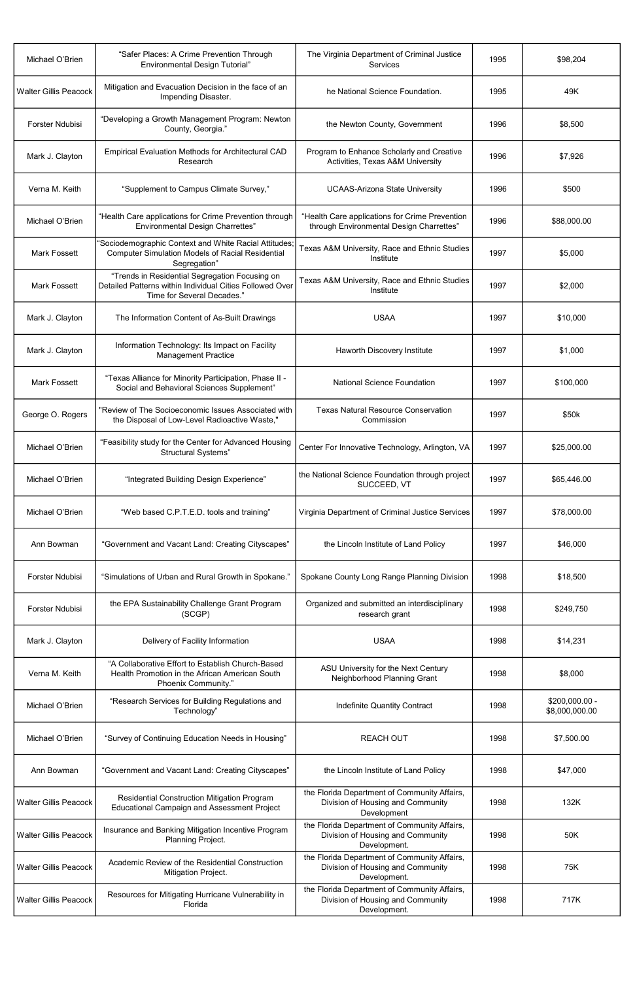| Michael O'Brien              | "Safer Places: A Crime Prevention Through<br><b>Environmental Design Tutorial"</b>                                                       | The Virginia Department of Criminal Justice<br><b>Services</b>                                    | 1995 | \$98,204                         |
|------------------------------|------------------------------------------------------------------------------------------------------------------------------------------|---------------------------------------------------------------------------------------------------|------|----------------------------------|
| <b>Walter Gillis Peacock</b> | Mitigation and Evacuation Decision in the face of an<br>Impending Disaster.                                                              | he National Science Foundation.                                                                   | 1995 | 49K                              |
| Forster Ndubisi              | "Developing a Growth Management Program: Newton<br>County, Georgia."                                                                     | the Newton County, Government                                                                     | 1996 | \$8,500                          |
| Mark J. Clayton              | <b>Empirical Evaluation Methods for Architectural CAD</b><br>Research                                                                    | Program to Enhance Scholarly and Creative<br>Activities, Texas A&M University                     | 1996 | \$7,926                          |
| Verna M. Keith               | "Supplement to Campus Climate Survey,"                                                                                                   | <b>UCAAS-Arizona State University</b>                                                             | 1996 | \$500                            |
| Michael O'Brien              | "Health Care applications for Crime Prevention through<br><b>Environmental Design Charrettes"</b>                                        | "Health Care applications for Crime Prevention<br>through Environmental Design Charrettes"        | 1996 | \$88,000.00                      |
| <b>Mark Fossett</b>          | "Sociodemographic Context and White Racial Attitudes<br><b>Computer Simulation Models of Racial Residential</b><br>Segregation"          | Texas A&M University, Race and Ethnic Studies<br>Institute                                        | 1997 | \$5,000                          |
| <b>Mark Fossett</b>          | "Trends in Residential Segregation Focusing on<br>Detailed Patterns within Individual Cities Followed Over<br>Time for Several Decades." | Texas A&M University, Race and Ethnic Studies<br>Institute                                        | 1997 | \$2,000                          |
| Mark J. Clayton              | The Information Content of As-Built Drawings                                                                                             | <b>USAA</b>                                                                                       | 1997 | \$10,000                         |
| Mark J. Clayton              | Information Technology: Its Impact on Facility<br><b>Management Practice</b>                                                             | Haworth Discovery Institute                                                                       | 1997 | \$1,000                          |
| Mark Fossett                 | "Texas Alliance for Minority Participation, Phase II -<br>Social and Behavioral Sciences Supplement"                                     | <b>National Science Foundation</b>                                                                | 1997 | \$100,000                        |
| George O. Rogers             | "Review of The Socioeconomic Issues Associated with<br>the Disposal of Low-Level Radioactive Waste,"                                     | <b>Texas Natural Resource Conservation</b><br>Commission                                          | 1997 | \$50k                            |
| Michael O'Brien              | "Feasibility study for the Center for Advanced Housing<br>Structural Systems"                                                            | Center For Innovative Technology, Arlington, VA                                                   | 1997 | \$25,000.00                      |
| Michael O'Brien              | "Integrated Building Design Experience"                                                                                                  | the National Science Foundation through project<br>SUCCEED, VT                                    | 1997 | \$65,446.00                      |
| Michael O'Brien              | "Web based C.P.T.E.D. tools and training"                                                                                                | Virginia Department of Criminal Justice Services                                                  | 1997 | \$78,000.00                      |
| Ann Bowman                   | "Government and Vacant Land: Creating Cityscapes"                                                                                        | the Lincoln Institute of Land Policy                                                              | 1997 | \$46,000                         |
| <b>Forster Ndubisi</b>       | "Simulations of Urban and Rural Growth in Spokane."                                                                                      | Spokane County Long Range Planning Division                                                       | 1998 | \$18,500                         |
| Forster Ndubisi              | the EPA Sustainability Challenge Grant Program<br>(SCGP)                                                                                 | Organized and submitted an interdisciplinary<br>research grant                                    | 1998 | \$249,750                        |
| Mark J. Clayton              | Delivery of Facility Information                                                                                                         | <b>USAA</b>                                                                                       | 1998 | \$14,231                         |
| Verna M. Keith               | "A Collaborative Effort to Establish Church-Based<br>Health Promotion in the African American South<br>Phoenix Community."               | ASU University for the Next Century<br>Neighborhood Planning Grant                                | 1998 | \$8,000                          |
| Michael O'Brien              | "Research Services for Building Regulations and<br>Technology"                                                                           | Indefinite Quantity Contract                                                                      | 1998 | \$200,000.00 -<br>\$8,000,000.00 |
| Michael O'Brien              | "Survey of Continuing Education Needs in Housing"                                                                                        | <b>REACH OUT</b>                                                                                  | 1998 | \$7,500.00                       |
| Ann Bowman                   | "Government and Vacant Land: Creating Cityscapes"                                                                                        | the Lincoln Institute of Land Policy                                                              | 1998 | \$47,000                         |
| <b>Walter Gillis Peacock</b> | <b>Residential Construction Mitigation Program</b><br><b>Educational Campaign and Assessment Project</b>                                 | the Florida Department of Community Affairs,<br>Division of Housing and Community<br>Development  | 1998 | 132K                             |
| <b>Walter Gillis Peacock</b> | Insurance and Banking Mitigation Incentive Program<br>Planning Project.                                                                  | the Florida Department of Community Affairs,<br>Division of Housing and Community<br>Development. | 1998 | 50K                              |
| <b>Walter Gillis Peacock</b> | Academic Review of the Residential Construction<br>Mitigation Project.                                                                   | the Florida Department of Community Affairs,<br>Division of Housing and Community<br>Development. | 1998 | 75K                              |
| <b>Walter Gillis Peacock</b> | Resources for Mitigating Hurricane Vulnerability in<br>Florida                                                                           | the Florida Department of Community Affairs,<br>Division of Housing and Community<br>Development. | 1998 | 717K                             |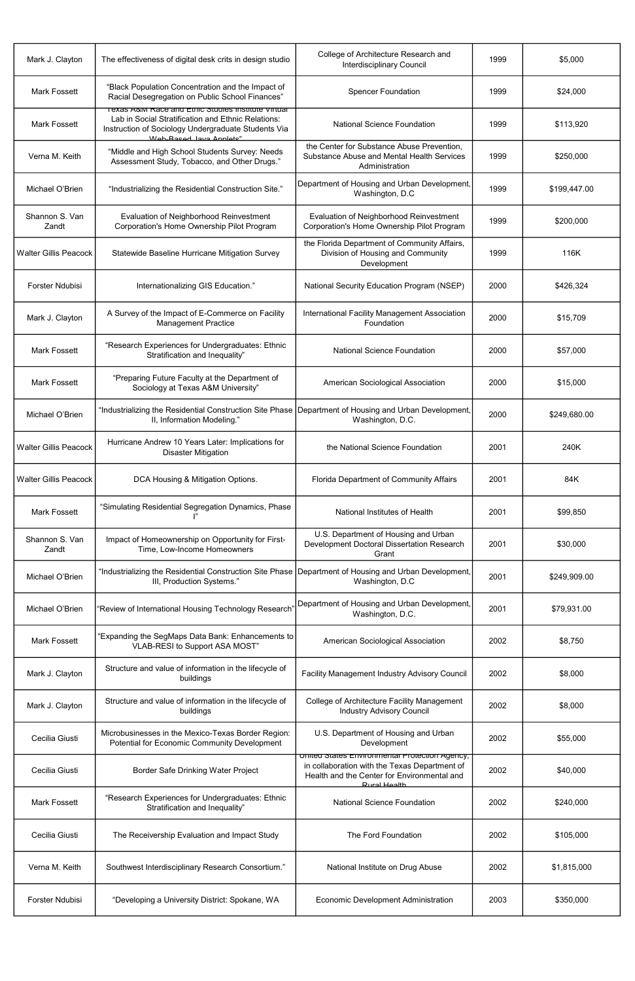| Mark J. Clayton              | The effectiveness of digital desk crits in design studio                                                                                                                                              | College of Architecture Research and<br><b>Interdisciplinary Council</b>                                                                                              | 1999 | \$5,000      |
|------------------------------|-------------------------------------------------------------------------------------------------------------------------------------------------------------------------------------------------------|-----------------------------------------------------------------------------------------------------------------------------------------------------------------------|------|--------------|
| <b>Mark Fossett</b>          | "Black Population Concentration and the Impact of<br>Racial Desegregation on Public School Finances"                                                                                                  | <b>Spencer Foundation</b>                                                                                                                                             | 1999 | \$24,000     |
| <b>Mark Fossett</b>          | <u>Texas A&amp;M Race and Ethic Studies Institute Virtual</u><br>Lab in Social Stratification and Ethnic Relations:<br>Instruction of Sociology Undergraduate Students Via<br>Web-Rased Java Anniets" | <b>National Science Foundation</b>                                                                                                                                    | 1999 | \$113,920    |
| Verna M. Keith               | "Middle and High School Students Survey: Needs<br>Assessment Study, Tobacco, and Other Drugs."                                                                                                        | the Center for Substance Abuse Prevention,<br>Substance Abuse and Mental Health Services<br>Administration                                                            | 1999 | \$250,000    |
| Michael O'Brien              | "Industrializing the Residential Construction Site."                                                                                                                                                  | Department of Housing and Urban Development,<br>Washington, D.C                                                                                                       | 1999 | \$199,447.00 |
| Shannon S. Van<br>Zandt      | Evaluation of Neighborhood Reinvestment<br>Corporation's Home Ownership Pilot Program                                                                                                                 | Evaluation of Neighborhood Reinvestment<br>Corporation's Home Ownership Pilot Program                                                                                 | 1999 | \$200,000    |
| <b>Walter Gillis Peacock</b> | Statewide Baseline Hurricane Mitigation Survey                                                                                                                                                        | the Florida Department of Community Affairs,<br>Division of Housing and Community<br>Development                                                                      | 1999 | 116K         |
| <b>Forster Ndubisi</b>       | Internationalizing GIS Education."                                                                                                                                                                    | National Security Education Program (NSEP)                                                                                                                            | 2000 | \$426,324    |
| Mark J. Clayton              | A Survey of the Impact of E-Commerce on Facility<br><b>Management Practice</b>                                                                                                                        | International Facility Management Association<br>Foundation                                                                                                           | 2000 | \$15,709     |
| <b>Mark Fossett</b>          | "Research Experiences for Undergraduates: Ethnic<br>Stratification and Inequality"                                                                                                                    | <b>National Science Foundation</b>                                                                                                                                    | 2000 | \$57,000     |
| <b>Mark Fossett</b>          | "Preparing Future Faculty at the Department of<br>Sociology at Texas A&M University"                                                                                                                  | American Sociological Association                                                                                                                                     | 2000 | \$15,000     |
| Michael O'Brien              | "Industrializing the Residential Construction Site Phase   Department of Housing and Urban Development,<br>II, Information Modeling."                                                                 | Washington, D.C.                                                                                                                                                      | 2000 | \$249,680.00 |
| <b>Walter Gillis Peacock</b> | Hurricane Andrew 10 Years Later: Implications for<br><b>Disaster Mitigation</b>                                                                                                                       | the National Science Foundation                                                                                                                                       | 2001 | 240K         |
| <b>Walter Gillis Peacock</b> | DCA Housing & Mitigation Options.                                                                                                                                                                     | Florida Department of Community Affairs                                                                                                                               | 2001 | 84K          |
| <b>Mark Fossett</b>          | "Simulating Residential Segregation Dynamics, Phase                                                                                                                                                   | National Institutes of Health                                                                                                                                         | 2001 | \$99,850     |
| Shannon S. Van<br>Zandt      | Impact of Homeownership on Opportunity for First-<br>Time, Low-Income Homeowners                                                                                                                      | U.S. Department of Housing and Urban<br>Development Doctoral Dissertation Research<br>Grant                                                                           | 2001 | \$30,000     |
| Michael O'Brien              | "Industrializing the Residential Construction Site Phase<br>III, Production Systems."                                                                                                                 | Department of Housing and Urban Development,<br>Washington, D.C                                                                                                       | 2001 | \$249,909.00 |
| Michael O'Brien              | 'Review of International Housing Technology Research                                                                                                                                                  | Department of Housing and Urban Development,<br>Washington, D.C.                                                                                                      | 2001 | \$79,931.00  |
| <b>Mark Fossett</b>          | "Expanding the SegMaps Data Bank: Enhancements to<br>VLAB-RESI to Support ASA MOST"                                                                                                                   | American Sociological Association                                                                                                                                     | 2002 | \$8,750      |
| Mark J. Clayton              | Structure and value of information in the lifecycle of<br>buildings                                                                                                                                   | Facility Management Industry Advisory Council                                                                                                                         | 2002 | \$8,000      |
| Mark J. Clayton              | Structure and value of information in the lifecycle of<br>buildings                                                                                                                                   | College of Architecture Facility Management<br><b>Industry Advisory Council</b>                                                                                       | 2002 | \$8,000      |
| Cecilia Giusti               | Microbusinesses in the Mexico-Texas Border Region:<br><b>Potential for Economic Community Development</b>                                                                                             | U.S. Department of Housing and Urban<br>Development                                                                                                                   | 2002 | \$55,000     |
| Cecilia Giusti               | Border Safe Drinking Water Project                                                                                                                                                                    | United States Environmental Protection Agency,<br>in collaboration with the Texas Department of<br>Health and the Center for Environmental and<br><b>Rural Health</b> | 2002 | \$40,000     |
| <b>Mark Fossett</b>          | "Research Experiences for Undergraduates: Ethnic<br>Stratification and Inequality"                                                                                                                    | <b>National Science Foundation</b>                                                                                                                                    | 2002 | \$240,000    |
| Cecilia Giusti               | The Receivership Evaluation and Impact Study                                                                                                                                                          | The Ford Foundation                                                                                                                                                   | 2002 | \$105,000    |
| Verna M. Keith               | Southwest Interdisciplinary Research Consortium."                                                                                                                                                     | National Institute on Drug Abuse                                                                                                                                      | 2002 | \$1,815,000  |
| Forster Ndubisi              | "Developing a University District: Spokane, WA                                                                                                                                                        | <b>Economic Development Administration</b>                                                                                                                            | 2003 | \$350,000    |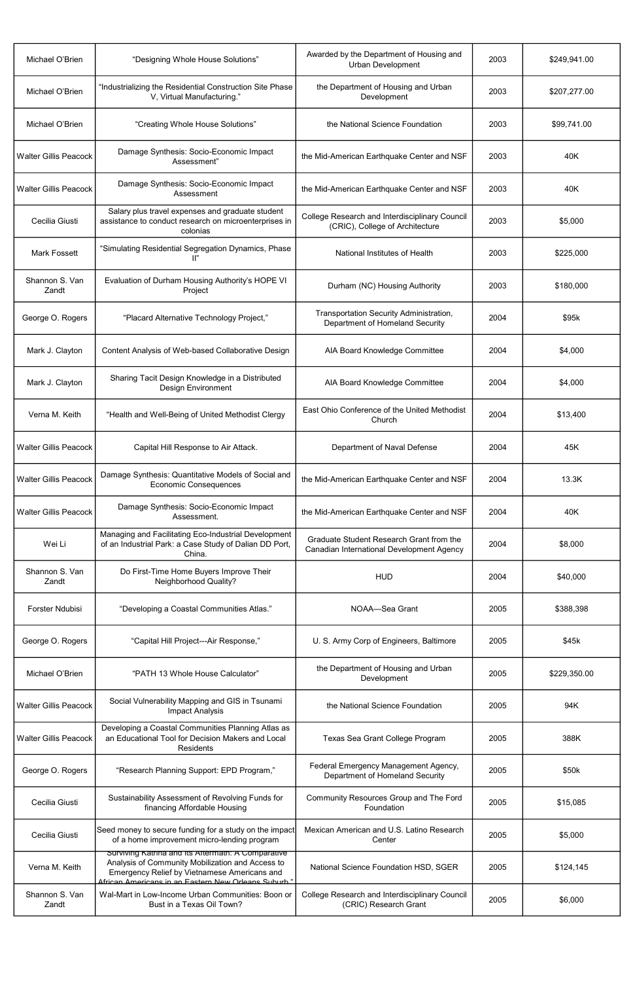| Michael O'Brien              | "Designing Whole House Solutions"                                                                                                                                                                             | Awarded by the Department of Housing and<br><b>Urban Development</b>                  | 2003 | \$249,941.00 |
|------------------------------|---------------------------------------------------------------------------------------------------------------------------------------------------------------------------------------------------------------|---------------------------------------------------------------------------------------|------|--------------|
| Michael O'Brien              | "Industrializing the Residential Construction Site Phase<br>V, Virtual Manufacturing."                                                                                                                        | the Department of Housing and Urban<br>Development                                    | 2003 | \$207,277.00 |
| Michael O'Brien              | "Creating Whole House Solutions"                                                                                                                                                                              | the National Science Foundation                                                       | 2003 | \$99,741.00  |
| <b>Walter Gillis Peacock</b> | Damage Synthesis: Socio-Economic Impact<br>Assessment"                                                                                                                                                        | the Mid-American Earthquake Center and NSF                                            | 2003 | 40K          |
| <b>Walter Gillis Peacock</b> | Damage Synthesis: Socio-Economic Impact<br>Assessment                                                                                                                                                         | the Mid-American Earthquake Center and NSF                                            | 2003 | 40K          |
| Cecilia Giusti               | Salary plus travel expenses and graduate student<br>assistance to conduct research on microenterprises in<br>colonias                                                                                         | College Research and Interdisciplinary Council<br>(CRIC), College of Architecture     | 2003 | \$5,000      |
| <b>Mark Fossett</b>          | "Simulating Residential Segregation Dynamics, Phase<br>$\mathbb{I}^n$                                                                                                                                         | National Institutes of Health                                                         | 2003 | \$225,000    |
| Shannon S. Van<br>Zandt      | Evaluation of Durham Housing Authority's HOPE VI<br>Project                                                                                                                                                   | Durham (NC) Housing Authority                                                         | 2003 | \$180,000    |
| George O. Rogers             | "Placard Alternative Technology Project,"                                                                                                                                                                     | Transportation Security Administration,<br>Department of Homeland Security            | 2004 | \$95k        |
| Mark J. Clayton              | Content Analysis of Web-based Collaborative Design                                                                                                                                                            | AIA Board Knowledge Committee                                                         | 2004 | \$4,000      |
| Mark J. Clayton              | Sharing Tacit Design Knowledge in a Distributed<br><b>Design Environment</b>                                                                                                                                  | AIA Board Knowledge Committee                                                         | 2004 | \$4,000      |
| Verna M. Keith               | "Health and Well-Being of United Methodist Clergy                                                                                                                                                             | East Ohio Conference of the United Methodist<br>Church                                | 2004 | \$13,400     |
| <b>Walter Gillis Peacock</b> | Capital Hill Response to Air Attack.                                                                                                                                                                          | Department of Naval Defense                                                           | 2004 | 45K          |
| <b>Walter Gillis Peacock</b> | Damage Synthesis: Quantitative Models of Social and<br><b>Economic Consequences</b>                                                                                                                           | the Mid-American Earthquake Center and NSF                                            | 2004 | 13.3K        |
| <b>Walter Gillis Peacock</b> | Damage Synthesis: Socio-Economic Impact<br>Assessment.                                                                                                                                                        | the Mid-American Earthquake Center and NSF                                            | 2004 | 40K          |
| Wei Li                       | Managing and Facilitating Eco-Industrial Development<br>of an Industrial Park: a Case Study of Dalian DD Port,<br>China.                                                                                      | Graduate Student Research Grant from the<br>Canadian International Development Agency | 2004 | \$8,000      |
| Shannon S. Van<br>Zandt      | Do First-Time Home Buyers Improve Their<br>Neighborhood Quality?                                                                                                                                              | <b>HUD</b>                                                                            | 2004 | \$40,000     |
| <b>Forster Ndubisi</b>       | "Developing a Coastal Communities Atlas."                                                                                                                                                                     | NOAA-Sea Grant                                                                        | 2005 | \$388,398    |
| George O. Rogers             | "Capital Hill Project---Air Response,"                                                                                                                                                                        | U. S. Army Corp of Engineers, Baltimore                                               | 2005 | \$45k        |
| Michael O'Brien              | "PATH 13 Whole House Calculator"                                                                                                                                                                              | the Department of Housing and Urban<br>Development                                    | 2005 | \$229,350.00 |
| <b>Walter Gillis Peacock</b> | Social Vulnerability Mapping and GIS in Tsunami<br><b>Impact Analysis</b>                                                                                                                                     | the National Science Foundation                                                       | 2005 | 94K          |
| <b>Walter Gillis Peacock</b> | Developing a Coastal Communities Planning Atlas as<br>an Educational Tool for Decision Makers and Local<br><b>Residents</b>                                                                                   | Texas Sea Grant College Program                                                       | 2005 | 388K         |
| George O. Rogers             | "Research Planning Support: EPD Program,"                                                                                                                                                                     | Federal Emergency Management Agency,<br>Department of Homeland Security               | 2005 | \$50k        |
| Cecilia Giusti               | Sustainability Assessment of Revolving Funds for<br>financing Affordable Housing                                                                                                                              | Community Resources Group and The Ford<br>Foundation                                  | 2005 | \$15,085     |
| Cecilia Giusti               | Seed money to secure funding for a study on the impact<br>of a home improvement micro-lending program                                                                                                         | Mexican American and U.S. Latino Research<br>Center                                   | 2005 | \$5,000      |
| Verna M. Keith               | Surviving Katrina and its Attermath: A Comparative<br>Analysis of Community Mobilization and Access to<br>Emergency Relief by Vietnamese Americans and<br>African Americans in an Eastern New Orleans Suburh" | National Science Foundation HSD, SGER                                                 | 2005 | \$124,145    |
| Shannon S. Van<br>Zandt      | Wal-Mart in Low-Income Urban Communities: Boon or<br>Bust in a Texas Oil Town?                                                                                                                                | <b>College Research and Interdisciplinary Council</b><br>(CRIC) Research Grant        | 2005 | \$6,000      |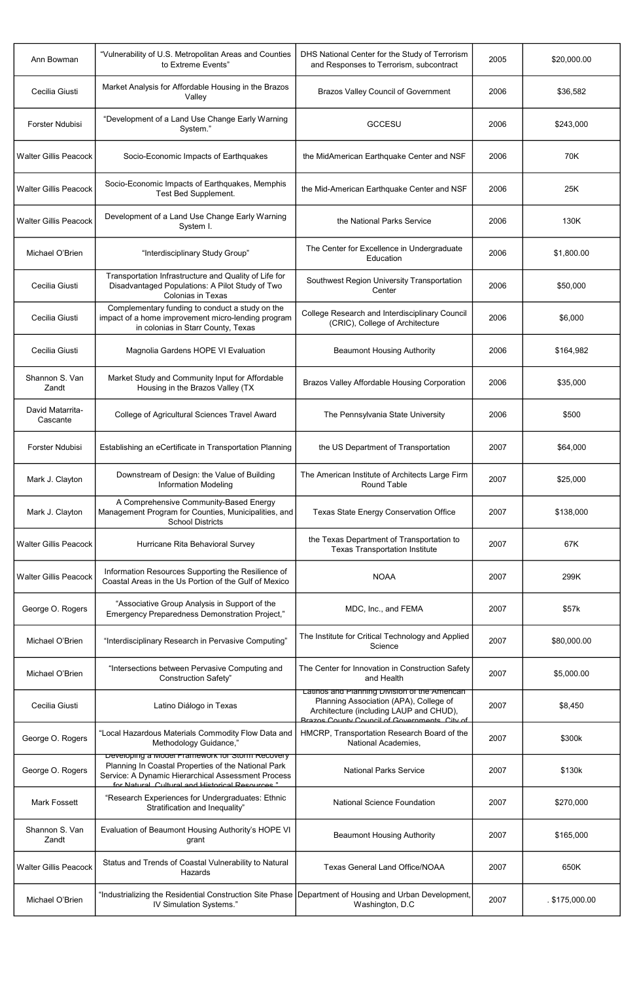| Ann Bowman                   | "Vulnerability of U.S. Metropolitan Areas and Counties<br>to Extreme Events"                                                                                                                                    | DHS National Center for the Study of Terrorism<br>and Responses to Terrorism, subcontract                                                                                          | 2005 | \$20,000.00  |
|------------------------------|-----------------------------------------------------------------------------------------------------------------------------------------------------------------------------------------------------------------|------------------------------------------------------------------------------------------------------------------------------------------------------------------------------------|------|--------------|
| Cecilia Giusti               | Market Analysis for Affordable Housing in the Brazos<br>Valley                                                                                                                                                  | <b>Brazos Valley Council of Government</b>                                                                                                                                         | 2006 | \$36,582     |
| Forster Ndubisi              | "Development of a Land Use Change Early Warning<br>System."                                                                                                                                                     | <b>GCCESU</b>                                                                                                                                                                      | 2006 | \$243,000    |
| <b>Walter Gillis Peacock</b> | Socio-Economic Impacts of Earthquakes                                                                                                                                                                           | the MidAmerican Earthquake Center and NSF                                                                                                                                          | 2006 | 70K          |
| <b>Walter Gillis Peacock</b> | Socio-Economic Impacts of Earthquakes, Memphis<br>Test Bed Supplement.                                                                                                                                          | the Mid-American Earthquake Center and NSF                                                                                                                                         | 2006 | 25K          |
| <b>Walter Gillis Peacock</b> | Development of a Land Use Change Early Warning<br>System I.                                                                                                                                                     | the National Parks Service                                                                                                                                                         | 2006 | 130K         |
| Michael O'Brien              | "Interdisciplinary Study Group"                                                                                                                                                                                 | The Center for Excellence in Undergraduate<br>Education                                                                                                                            | 2006 | \$1,800.00   |
| Cecilia Giusti               | Transportation Infrastructure and Quality of Life for<br>Disadvantaged Populations: A Pilot Study of Two<br><b>Colonias in Texas</b>                                                                            | Southwest Region University Transportation<br>Center                                                                                                                               | 2006 | \$50,000     |
| Cecilia Giusti               | Complementary funding to conduct a study on the<br>impact of a home improvement micro-lending program<br>in colonias in Starr County, Texas                                                                     | College Research and Interdisciplinary Council<br>(CRIC), College of Architecture                                                                                                  | 2006 | \$6,000      |
| Cecilia Giusti               | Magnolia Gardens HOPE VI Evaluation                                                                                                                                                                             | <b>Beaumont Housing Authority</b>                                                                                                                                                  | 2006 | \$164,982    |
| Shannon S. Van<br>Zandt      | Market Study and Community Input for Affordable<br>Housing in the Brazos Valley (TX                                                                                                                             | <b>Brazos Valley Affordable Housing Corporation</b>                                                                                                                                | 2006 | \$35,000     |
| David Matarrita-<br>Cascante | College of Agricultural Sciences Travel Award                                                                                                                                                                   | The Pennsylvania State University                                                                                                                                                  | 2006 | \$500        |
| Forster Ndubisi              | Establishing an eCertificate in Transportation Planning                                                                                                                                                         | the US Department of Transportation                                                                                                                                                | 2007 | \$64,000     |
| Mark J. Clayton              | Downstream of Design: the Value of Building<br><b>Information Modeling</b>                                                                                                                                      | The American Institute of Architects Large Firm<br>Round Table                                                                                                                     | 2007 | \$25,000     |
| Mark J. Clayton              | A Comprehensive Community-Based Energy<br>Management Program for Counties, Municipalities, and<br><b>School Districts</b>                                                                                       | <b>Texas State Energy Conservation Office</b>                                                                                                                                      | 2007 | \$138,000    |
| <b>Walter Gillis Peacock</b> | Hurricane Rita Behavioral Survey                                                                                                                                                                                | the Texas Department of Transportation to<br><b>Texas Transportation Institute</b>                                                                                                 | 2007 | 67K          |
| <b>Walter Gillis Peacock</b> | Information Resources Supporting the Resilience of<br>Coastal Areas in the Us Portion of the Gulf of Mexico                                                                                                     | <b>NOAA</b>                                                                                                                                                                        | 2007 | 299K         |
| George O. Rogers             | "Associative Group Analysis in Support of the<br>Emergency Preparedness Demonstration Project,"                                                                                                                 | MDC, Inc., and FEMA                                                                                                                                                                | 2007 | \$57k        |
| Michael O'Brien              | "Interdisciplinary Research in Pervasive Computing"                                                                                                                                                             | The Institute for Critical Technology and Applied<br>Science                                                                                                                       | 2007 | \$80,000.00  |
| Michael O'Brien              | "Intersections between Pervasive Computing and<br><b>Construction Safety"</b>                                                                                                                                   | The Center for Innovation in Construction Safety<br>and Health                                                                                                                     | 2007 | \$5,000.00   |
| Cecilia Giusti               | Latino Diálogo in Texas                                                                                                                                                                                         | Latinos and Planning Division of the American<br>Planning Association (APA), College of<br>Architecture (including LAUP and CHUD),<br>Rrazos County Council of Governments City of | 2007 | \$8,450      |
| George O. Rogers             | "Local Hazardous Materials Commodity Flow Data and<br>Methodology Guidance,"                                                                                                                                    | HMCRP, Transportation Research Board of the<br>National Academies,                                                                                                                 | 2007 | \$300k       |
| George O. Rogers             | Developing a Model Framework for Storm Recovery<br>Planning In Coastal Properties of the National Park<br>Service: A Dynamic Hierarchical Assessment Process<br>for Natural Cultural and Historical Resources " | <b>National Parks Service</b>                                                                                                                                                      | 2007 | \$130k       |
| <b>Mark Fossett</b>          | "Research Experiences for Undergraduates: Ethnic<br>Stratification and Inequality"                                                                                                                              | <b>National Science Foundation</b>                                                                                                                                                 | 2007 | \$270,000    |
| Shannon S. Van<br>Zandt      | Evaluation of Beaumont Housing Authority's HOPE VI<br>grant                                                                                                                                                     | <b>Beaumont Housing Authority</b>                                                                                                                                                  | 2007 | \$165,000    |
| <b>Walter Gillis Peacock</b> | Status and Trends of Coastal Vulnerability to Natural<br>Hazards                                                                                                                                                | <b>Texas General Land Office/NOAA</b>                                                                                                                                              | 2007 | 650K         |
| Michael O'Brien              | "Industrializing the Residential Construction Site Phase Department of Housing and Urban Development,<br>IV Simulation Systems."                                                                                | Washington, D.C                                                                                                                                                                    | 2007 | \$175,000.00 |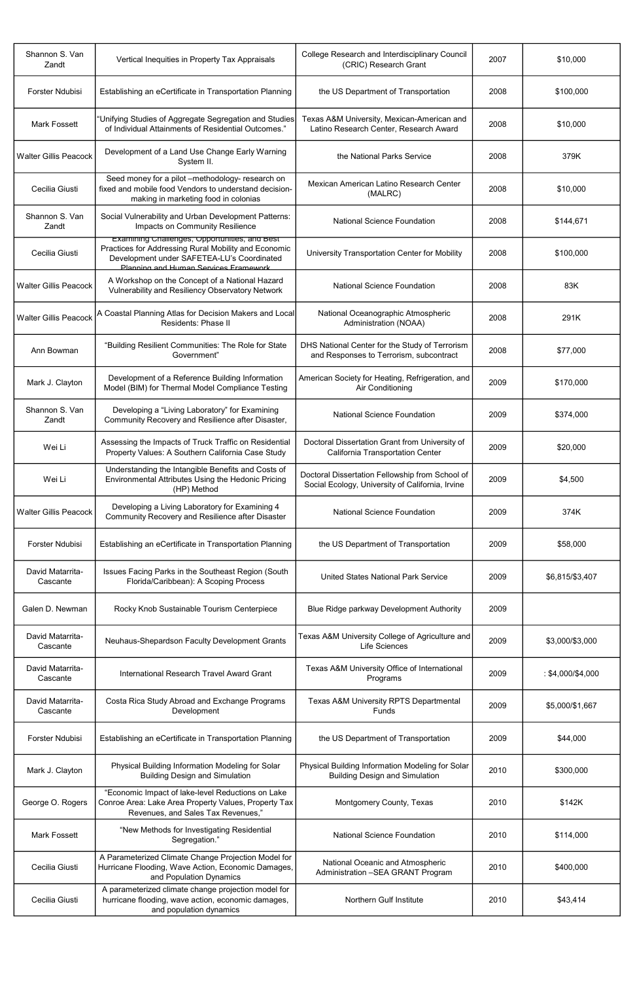| Shannon S. Van<br>Zandt      | Vertical Inequities in Property Tax Appraisals                                                                                                                                                      | College Research and Interdisciplinary Council<br>(CRIC) Research Grant                             | 2007 | \$10,000          |
|------------------------------|-----------------------------------------------------------------------------------------------------------------------------------------------------------------------------------------------------|-----------------------------------------------------------------------------------------------------|------|-------------------|
| <b>Forster Ndubisi</b>       | Establishing an eCertificate in Transportation Planning                                                                                                                                             | the US Department of Transportation                                                                 | 2008 | \$100,000         |
| <b>Mark Fossett</b>          | "Unifying Studies of Aggregate Segregation and Studies<br>of Individual Attainments of Residential Outcomes."                                                                                       | Texas A&M University, Mexican-American and<br>Latino Research Center, Research Award                | 2008 | \$10,000          |
| <b>Walter Gillis Peacock</b> | Development of a Land Use Change Early Warning<br>System II.                                                                                                                                        | the National Parks Service                                                                          | 2008 | 379K              |
| Cecilia Giusti               | Seed money for a pilot -methodology- research on<br>fixed and mobile food Vendors to understand decision-<br>making in marketing food in colonias                                                   | Mexican American Latino Research Center<br>(MALRC)                                                  | 2008 | \$10,000          |
| Shannon S. Van<br>Zandt      | Social Vulnerability and Urban Development Patterns:<br>Impacts on Community Resilience                                                                                                             | <b>National Science Foundation</b>                                                                  | 2008 | \$144,671         |
| Cecilia Giusti               | <b>Examining Challenges, Opportunities, and Best</b><br>Practices for Addressing Rural Mobility and Economic<br>Development under SAFETEA-LU's Coordinated<br>Planning and Human Services Framework | University Transportation Center for Mobility                                                       | 2008 | \$100,000         |
| <b>Walter Gillis Peacock</b> | A Workshop on the Concept of a National Hazard<br>Vulnerability and Resiliency Observatory Network                                                                                                  | <b>National Science Foundation</b>                                                                  | 2008 | 83K               |
| <b>Walter Gillis Peacock</b> | A Coastal Planning Atlas for Decision Makers and Local<br>Residents: Phase II                                                                                                                       | National Oceanographic Atmospheric<br>Administration (NOAA)                                         | 2008 | 291K              |
| Ann Bowman                   | "Building Resilient Communities: The Role for State<br>Government"                                                                                                                                  | DHS National Center for the Study of Terrorism<br>and Responses to Terrorism, subcontract           | 2008 | \$77,000          |
| Mark J. Clayton              | Development of a Reference Building Information<br>Model (BIM) for Thermal Model Compliance Testing                                                                                                 | American Society for Heating, Refrigeration, and<br>Air Conditioning                                | 2009 | \$170,000         |
| Shannon S. Van<br>Zandt      | Developing a "Living Laboratory" for Examining<br>Community Recovery and Resilience after Disaster,                                                                                                 | <b>National Science Foundation</b>                                                                  | 2009 | \$374,000         |
| Wei Li                       | Assessing the Impacts of Truck Traffic on Residential<br>Property Values: A Southern California Case Study                                                                                          | Doctoral Dissertation Grant from University of<br>California Transportation Center                  | 2009 | \$20,000          |
| Wei Li                       | Understanding the Intangible Benefits and Costs of<br>Environmental Attributes Using the Hedonic Pricing<br>(HP) Method                                                                             | Doctoral Dissertation Fellowship from School of<br>Social Ecology, University of California, Irvine | 2009 | \$4,500           |
| <b>Walter Gillis Peacock</b> | Developing a Living Laboratory for Examining 4<br>Community Recovery and Resilience after Disaster                                                                                                  | <b>National Science Foundation</b>                                                                  | 2009 | 374K              |
| <b>Forster Ndubisi</b>       | Establishing an eCertificate in Transportation Planning                                                                                                                                             | the US Department of Transportation                                                                 | 2009 | \$58,000          |
| David Matarrita-<br>Cascante | Issues Facing Parks in the Southeast Region (South<br>Florida/Caribbean): A Scoping Process                                                                                                         | <b>United States National Park Service</b>                                                          | 2009 | \$6,815/\$3,407   |
| Galen D. Newman              | Rocky Knob Sustainable Tourism Centerpiece                                                                                                                                                          | Blue Ridge parkway Development Authority                                                            | 2009 |                   |
| David Matarrita-<br>Cascante | Neuhaus-Shepardson Faculty Development Grants                                                                                                                                                       | Texas A&M University College of Agriculture and<br><b>Life Sciences</b>                             | 2009 | \$3,000/\$3,000   |
| David Matarrita-<br>Cascante | International Research Travel Award Grant                                                                                                                                                           | Texas A&M University Office of International<br>Programs                                            | 2009 | : \$4,000/\$4,000 |
| David Matarrita-<br>Cascante | Costa Rica Study Abroad and Exchange Programs<br>Development                                                                                                                                        | <b>Texas A&amp;M University RPTS Departmental</b><br>Funds                                          | 2009 | \$5,000/\$1,667   |
| Forster Ndubisi              | Establishing an eCertificate in Transportation Planning                                                                                                                                             | the US Department of Transportation                                                                 | 2009 | \$44,000          |
| Mark J. Clayton              | Physical Building Information Modeling for Solar<br><b>Building Design and Simulation</b>                                                                                                           | Physical Building Information Modeling for Solar<br><b>Building Design and Simulation</b>           | 2010 | \$300,000         |
| George O. Rogers             | "Economic Impact of lake-level Reductions on Lake<br>Conroe Area: Lake Area Property Values, Property Tax<br>Revenues, and Sales Tax Revenues,"                                                     | Montgomery County, Texas                                                                            | 2010 | \$142K            |
| <b>Mark Fossett</b>          | "New Methods for Investigating Residential<br>Segregation."                                                                                                                                         | <b>National Science Foundation</b>                                                                  | 2010 | \$114,000         |
| Cecilia Giusti               | A Parameterized Climate Change Projection Model for<br>Hurricane Flooding, Wave Action, Economic Damages,<br>and Population Dynamics                                                                | National Oceanic and Atmospheric<br>Administration - SEA GRANT Program                              | 2010 | \$400,000         |
| Cecilia Giusti               | A parameterized climate change projection model for<br>hurricane flooding, wave action, economic damages,<br>and population dynamics                                                                | Northern Gulf Institute                                                                             | 2010 | \$43,414          |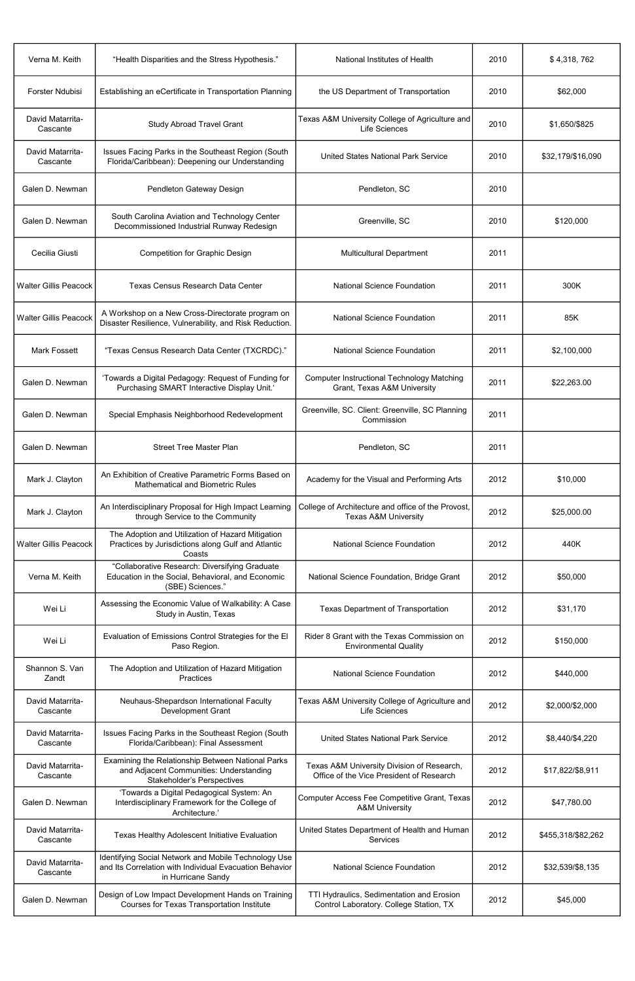| Verna M. Keith               | "Health Disparities and the Stress Hypothesis."                                                                                       | National Institutes of Health                                                          | 2010 | \$4,318,762        |
|------------------------------|---------------------------------------------------------------------------------------------------------------------------------------|----------------------------------------------------------------------------------------|------|--------------------|
| <b>Forster Ndubisi</b>       | Establishing an eCertificate in Transportation Planning                                                                               | the US Department of Transportation                                                    | 2010 | \$62,000           |
| David Matarrita-<br>Cascante | <b>Study Abroad Travel Grant</b>                                                                                                      | Texas A&M University College of Agriculture and<br>Life Sciences                       | 2010 | \$1,650/\$825      |
| David Matarrita-<br>Cascante | Issues Facing Parks in the Southeast Region (South<br>Florida/Caribbean): Deepening our Understanding                                 | <b>United States National Park Service</b>                                             | 2010 | \$32,179/\$16,090  |
| Galen D. Newman              | Pendleton Gateway Design                                                                                                              | Pendleton, SC                                                                          | 2010 |                    |
| Galen D. Newman              | South Carolina Aviation and Technology Center<br>Decommissioned Industrial Runway Redesign                                            | Greenville, SC                                                                         | 2010 | \$120,000          |
| Cecilia Giusti               | <b>Competition for Graphic Design</b>                                                                                                 | <b>Multicultural Department</b>                                                        | 2011 |                    |
| <b>Walter Gillis Peacock</b> | <b>Texas Census Research Data Center</b>                                                                                              | <b>National Science Foundation</b>                                                     | 2011 | 300K               |
| <b>Walter Gillis Peacock</b> | A Workshop on a New Cross-Directorate program on<br>Disaster Resilience, Vulnerability, and Risk Reduction.                           | <b>National Science Foundation</b>                                                     | 2011 | 85K                |
| <b>Mark Fossett</b>          | "Texas Census Research Data Center (TXCRDC)."                                                                                         | <b>National Science Foundation</b>                                                     | 2011 | \$2,100,000        |
| Galen D. Newman              | 'Towards a Digital Pedagogy: Request of Funding for<br>Purchasing SMART Interactive Display Unit.                                     | <b>Computer Instructional Technology Matching</b><br>Grant, Texas A&M University       | 2011 | \$22,263.00        |
| Galen D. Newman              | Special Emphasis Neighborhood Redevelopment                                                                                           | Greenville, SC. Client: Greenville, SC Planning<br>Commission                          | 2011 |                    |
| Galen D. Newman              | <b>Street Tree Master Plan</b>                                                                                                        | Pendleton, SC                                                                          | 2011 |                    |
| Mark J. Clayton              | An Exhibition of Creative Parametric Forms Based on<br><b>Mathematical and Biometric Rules</b>                                        | Academy for the Visual and Performing Arts                                             | 2012 | \$10,000           |
| Mark J. Clayton              | An Interdisciplinary Proposal for High Impact Learning<br>through Service to the Community                                            | College of Architecture and office of the Provost,<br><b>Texas A&amp;M University</b>  | 2012 | \$25,000.00        |
| <b>Walter Gillis Peacock</b> | The Adoption and Utilization of Hazard Mitigation<br>Practices by Jurisdictions along Gulf and Atlantic<br>Coasts                     | <b>National Science Foundation</b>                                                     | 2012 | 440K               |
| Verna M. Keith               | "Collaborative Research: Diversifying Graduate<br>Education in the Social, Behavioral, and Economic<br>(SBE) Sciences."               | National Science Foundation, Bridge Grant                                              | 2012 | \$50,000           |
| Wei Li                       | Assessing the Economic Value of Walkability: A Case<br>Study in Austin, Texas                                                         | <b>Texas Department of Transportation</b>                                              | 2012 | \$31,170           |
| Wei Li                       | Evaluation of Emissions Control Strategies for the El<br>Paso Region.                                                                 | Rider 8 Grant with the Texas Commission on<br><b>Environmental Quality</b>             | 2012 | \$150,000          |
| Shannon S. Van<br>Zandt      | The Adoption and Utilization of Hazard Mitigation<br>Practices                                                                        | <b>National Science Foundation</b>                                                     | 2012 | \$440,000          |
| David Matarrita-<br>Cascante | Neuhaus-Shepardson International Faculty<br>Development Grant                                                                         | Texas A&M University College of Agriculture and<br>Life Sciences                       | 2012 | \$2,000/\$2,000    |
| David Matarrita-<br>Cascante | Issues Facing Parks in the Southeast Region (South<br>Florida/Caribbean): Final Assessment                                            | <b>United States National Park Service</b>                                             | 2012 | \$8,440/\$4,220    |
| David Matarrita-<br>Cascante | Examining the Relationship Between National Parks<br>and Adjacent Communities: Understanding<br><b>Stakeholder's Perspectives</b>     | Texas A&M University Division of Research,<br>Office of the Vice President of Research | 2012 | \$17,822/\$8,911   |
| Galen D. Newman              | 'Towards a Digital Pedagogical System: An<br>Interdisciplinary Framework for the College of<br>Architecture.'                         | Computer Access Fee Competitive Grant, Texas<br><b>A&amp;M University</b>              | 2012 | \$47,780.00        |
| David Matarrita-<br>Cascante | Texas Healthy Adolescent Initiative Evaluation                                                                                        | United States Department of Health and Human<br>Services                               | 2012 | \$455,318/\$82,262 |
| David Matarrita-<br>Cascante | Identifying Social Network and Mobile Technology Use<br>and Its Correlation with Individual Evacuation Behavior<br>in Hurricane Sandy | <b>National Science Foundation</b>                                                     | 2012 | \$32,539/\$8,135   |
| Galen D. Newman              | Design of Low Impact Development Hands on Training<br>Courses for Texas Transportation Institute                                      | TTI Hydraulics, Sedimentation and Erosion<br>Control Laboratory. College Station, TX   | 2012 | \$45,000           |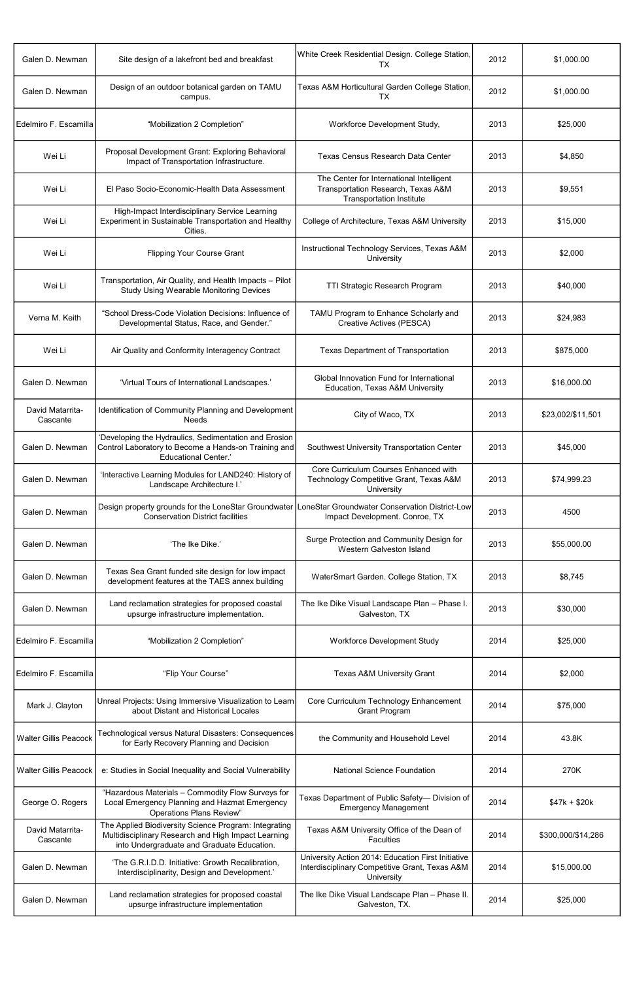| Galen D. Newman              | Site design of a lakefront bed and breakfast                                                                                                               | White Creek Residential Design. College Station,<br><b>TX</b>                                                      | 2012 | \$1,000.00         |
|------------------------------|------------------------------------------------------------------------------------------------------------------------------------------------------------|--------------------------------------------------------------------------------------------------------------------|------|--------------------|
| Galen D. Newman              | Design of an outdoor botanical garden on TAMU<br>campus.                                                                                                   | Texas A&M Horticultural Garden College Station,<br>TX                                                              | 2012 | \$1,000.00         |
| Edelmiro F. Escamilla        | "Mobilization 2 Completion"                                                                                                                                | Workforce Development Study,                                                                                       | 2013 | \$25,000           |
| Wei Li                       | Proposal Development Grant: Exploring Behavioral<br>Impact of Transportation Infrastructure.                                                               | Texas Census Research Data Center                                                                                  | 2013 | \$4,850            |
| Wei Li                       | El Paso Socio-Economic-Health Data Assessment                                                                                                              | The Center for International Intelligent<br>Transportation Research, Texas A&M<br><b>Transportation Institute</b>  | 2013 | \$9,551            |
| Wei Li                       | High-Impact Interdisciplinary Service Learning<br>Experiment in Sustainable Transportation and Healthy<br>Cities.                                          | College of Architecture, Texas A&M University                                                                      | 2013 | \$15,000           |
| Wei Li                       | <b>Flipping Your Course Grant</b>                                                                                                                          | Instructional Technology Services, Texas A&M<br>University                                                         | 2013 | \$2,000            |
| Wei Li                       | Transportation, Air Quality, and Health Impacts - Pilot<br><b>Study Using Wearable Monitoring Devices</b>                                                  | TTI Strategic Research Program                                                                                     | 2013 | \$40,000           |
| Verna M. Keith               | "School Dress-Code Violation Decisions: Influence of<br>Developmental Status, Race, and Gender."                                                           | TAMU Program to Enhance Scholarly and<br>Creative Actives (PESCA)                                                  | 2013 | \$24,983           |
| Wei Li                       | Air Quality and Conformity Interagency Contract                                                                                                            | <b>Texas Department of Transportation</b>                                                                          | 2013 | \$875,000          |
| Galen D. Newman              | 'Virtual Tours of International Landscapes.'                                                                                                               | Global Innovation Fund for International<br>Education, Texas A&M University                                        | 2013 | \$16,000.00        |
| David Matarrita-<br>Cascante | Identification of Community Planning and Development<br><b>Needs</b>                                                                                       | City of Waco, TX                                                                                                   | 2013 | \$23,002/\$11,501  |
| Galen D. Newman              | 'Developing the Hydraulics, Sedimentation and Erosion<br>Control Laboratory to Become a Hands-on Training and<br><b>Educational Center.'</b>               | Southwest University Transportation Center                                                                         | 2013 | \$45,000           |
| Galen D. Newman              | 'Interactive Learning Modules for LAND240: History of<br>Landscape Architecture I.'                                                                        | Core Curriculum Courses Enhanced with<br>Technology Competitive Grant, Texas A&M<br>University                     | 2013 | \$74,999.23        |
| Galen D. Newman              | Design property grounds for the LoneStar Groundwater   LoneStar Groundwater Conservation District-Low<br><b>Conservation District facilities</b>           | Impact Development. Conroe, TX                                                                                     | 2013 | 4500               |
| Galen D. Newman              | 'The Ike Dike.'                                                                                                                                            | Surge Protection and Community Design for<br><b>Western Galveston Island</b>                                       | 2013 | \$55,000.00        |
| Galen D. Newman              | Texas Sea Grant funded site design for low impact<br>development features at the TAES annex building                                                       | WaterSmart Garden. College Station, TX                                                                             | 2013 | \$8,745            |
| Galen D. Newman              | Land reclamation strategies for proposed coastal<br>upsurge infrastructure implementation.                                                                 | The Ike Dike Visual Landscape Plan - Phase I.<br>Galveston, TX                                                     | 2013 | \$30,000           |
| Edelmiro F. Escamilla        | "Mobilization 2 Completion"                                                                                                                                | <b>Workforce Development Study</b>                                                                                 | 2014 | \$25,000           |
| Edelmiro F. Escamilla        | "Flip Your Course"                                                                                                                                         | <b>Texas A&amp;M University Grant</b>                                                                              | 2014 | \$2,000            |
| Mark J. Clayton              | Unreal Projects: Using Immersive Visualization to Learn<br>about Distant and Historical Locales                                                            | Core Curriculum Technology Enhancement<br><b>Grant Program</b>                                                     | 2014 | \$75,000           |
| <b>Walter Gillis Peacock</b> | <b>Fechnological versus Natural Disasters: Consequences</b><br>for Early Recovery Planning and Decision                                                    | the Community and Household Level                                                                                  | 2014 | 43.8K              |
| <b>Walter Gillis Peacock</b> | e: Studies in Social Inequality and Social Vulnerability                                                                                                   | National Science Foundation                                                                                        | 2014 | 270K               |
| George O. Rogers             | "Hazardous Materials - Commodity Flow Surveys for<br>Local Emergency Planning and Hazmat Emergency<br><b>Operations Plans Review"</b>                      | Texas Department of Public Safety- Division of<br><b>Emergency Management</b>                                      | 2014 | $$47k + $20k$      |
| David Matarrita-<br>Cascante | The Applied Biodiversity Science Program: Integrating<br>Multidisciplinary Research and High Impact Learning<br>into Undergraduate and Graduate Education. | Texas A&M University Office of the Dean of<br><b>Faculties</b>                                                     | 2014 | \$300,000/\$14,286 |
| Galen D. Newman              | 'The G.R.I.D.D. Initiative: Growth Recalibration,<br>Interdisciplinarity, Design and Development.'                                                         | University Action 2014: Education First Initiative<br>Interdisciplinary Competitive Grant, Texas A&M<br>University | 2014 | \$15,000.00        |
| Galen D. Newman              | Land reclamation strategies for proposed coastal<br>upsurge infrastructure implementation                                                                  | The Ike Dike Visual Landscape Plan - Phase II.<br>Galveston, TX.                                                   | 2014 | \$25,000           |